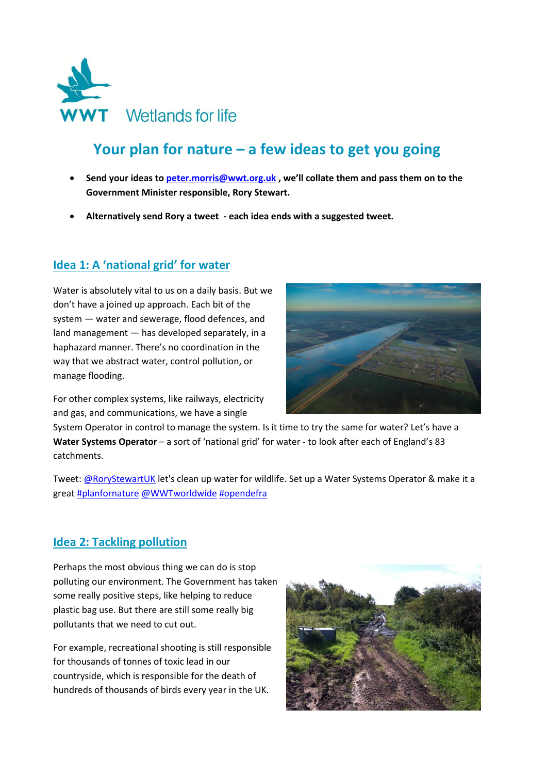

# **Your plan for nature – a few ideas to get you going**

- **Send your ideas to [peter.morris@wwt.org.uk](mailto:peter.morris@wwt.org.uk) , we'll collate them and pass them on to the Government Minister responsible, Rory Stewart.**
- **Alternatively send Rory a tweet - each idea ends with a suggested tweet.**

#### **Idea 1: A 'national grid' for water**

Water is absolutely vital to us on a daily basis. But we don't have a joined up approach. Each bit of the system — water and sewerage, flood defences, and land management — has developed separately, in a haphazard manner. There's no coordination in the way that we abstract water, control pollution, or manage flooding.

For other complex systems, like railways, electricity and gas, and communications, we have a single



System Operator in control to manage the system. Is it time to try the same for water? Let's have a **Water Systems Operator** – a sort of 'national grid' for water - to look after each of England's 83 catchments.

Tweet: [@RoryStewartUK](https://twitter.com/RoryStewartUK) let's clean up water for wildlife. Set up a Water Systems Operator & make it a great **[#planfornature](https://twitter.com/search?q=%23planfornature) [@WWTworldwide](https://twitter.com/WWTworldwide) [#opendefra](https://twitter.com/search?q=%23opendefra)** 

#### **Idea 2: Tackling pollution**

Perhaps the most obvious thing we can do is stop polluting our environment. The Government has taken some really positive steps, like helping to reduce plastic bag use. But there are still some really big pollutants that we need to cut out.

For example, recreational shooting is still responsible for thousands of tonnes of toxic lead in our countryside, which is responsible for the death of hundreds of thousands of birds every year in the UK.

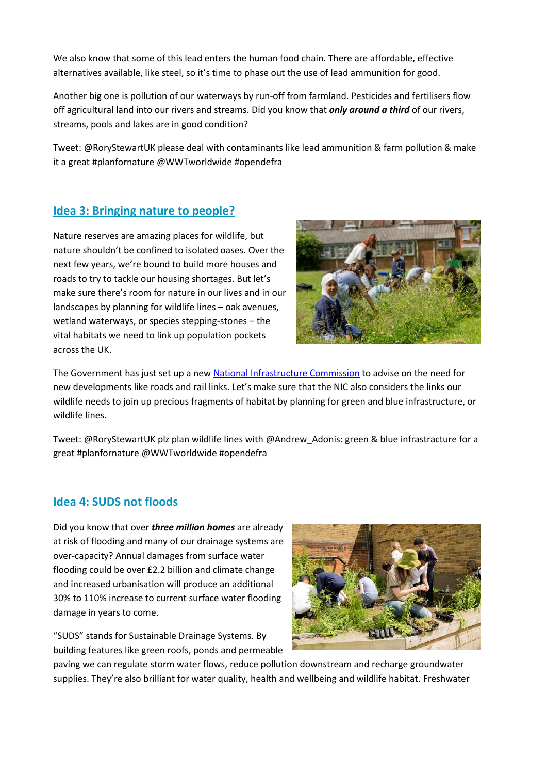We also know that some of this lead enters the human food chain. There are affordable, effective alternatives available, like steel, so it's time to phase out the use of lead ammunition for good.

Another big one is pollution of our waterways by run-off from farmland. Pesticides and fertilisers flow off agricultural land into our rivers and streams. Did you know that *only around a third* of our rivers, streams, pools and lakes are in good condition?

Tweet: [@RoryStewartUK](https://twitter.com/RoryStewartUK) please deal with contaminants like lead ammunition & farm pollution & make it a great [#planfornature](https://twitter.com/search?q=%23planfornature) [@WWTworldwide](https://twitter.com/WWTworldwide) [#opendefra](https://twitter.com/search?q=%23opendefra)

## **Idea 3: Bringing nature to people?**

Nature reserves are amazing places for wildlife, but nature shouldn't be confined to isolated oases. Over the next few years, we're bound to build more houses and roads to try to tackle our housing shortages. But let's make sure there's room for nature in our lives and in our landscapes by planning for wildlife lines – oak avenues, wetland waterways, or species stepping-stones – the vital habitats we need to link up population pockets across the UK.



The Government has just set up a new [National Infrastructure Commission](https://www.gov.uk/government/organisations/national-infrastructure-commission) to advise on the need for new developments like roads and rail links. Let's make sure that the NIC also considers the links our wildlife needs to join up precious fragments of habitat by planning for green and blue infrastructure, or wildlife lines.

Tweet: [@RoryStewartUK](https://twitter.com/RoryStewartUK) plz plan wildlife lines with [@Andrew\\_Adonis:](https://twitter.com/Andrew_Adonis) green & blue infrastracture for a great #planfornature @WWTworldwide #opendefra

#### **Idea 4: SUDS not floods**

Did you know that over *three million homes* are already at risk of flooding and many of our drainage systems are over-capacity? Annual damages from surface water flooding could be over £2.2 billion and climate change and increased urbanisation will produce an additional 30% to 110% increase to current surface water flooding damage in years to come.

"SUDS" stands for Sustainable Drainage Systems. By building features like green roofs, ponds and permeable



paving we can regulate storm water flows, reduce pollution downstream and recharge groundwater supplies. They're also brilliant for water quality, health and wellbeing and wildlife habitat. Freshwater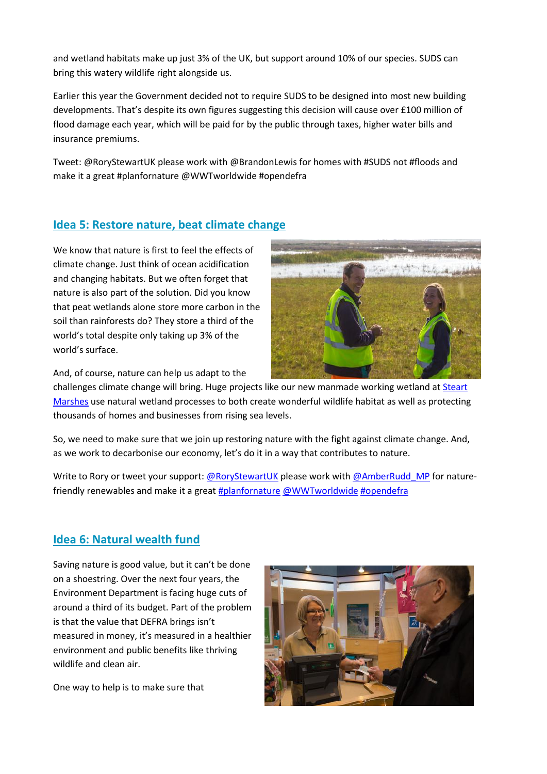and wetland habitats make up just 3% of the UK, but support around 10% of our species. SUDS can bring this watery wildlife right alongside us.

Earlier this year the Government decided not to require SUDS to be designed into most new building developments. That's despite its own figures suggesting this decision will cause over £100 million of flood damage each year, which will be paid for by the public through taxes, higher water bills and insurance premiums.

Tweet: @RoryStewartUK please work with @BrandonLewis for homes with #SUDS not #floods and make it a great #planfornature @WWTworldwide #opendefra

### **Idea 5: Restore nature, beat climate change**

We know that nature is first to feel the effects of climate change. Just think of ocean acidification and changing habitats. But we often forget that nature is also part of the solution. Did you know that peat wetlands alone store more carbon in the soil than rainforests do? They store a third of the world's total despite only taking up 3% of the world's surface.



And, of course, nature can help us adapt to the

challenges climate change will bring. Huge projects like our new manmade working wetland at Steart [Marshes](http://www.wwt.org.uk/conservation/wwt-projects/steart-marshes/) use natural wetland processes to both create wonderful wildlife habitat as well as protecting thousands of homes and businesses from rising sea levels.

So, we need to make sure that we join up restoring nature with the fight against climate change. And, as we work to decarbonise our economy, let's do it in a way that contributes to nature.

Write to Rory or tweet your support[: @RoryStewartUK](https://twitter.com/RoryStewartUK) please work with @AmberRudd MP for naturefriendly renewables and make it a great [#planfornature](https://twitter.com/search?q=%23planfornature) [@WWTworldwide](https://twitter.com/WWTworldwide) [#opendefra](https://twitter.com/search?q=%23opendefra)

## **Idea 6: Natural wealth fund**

Saving nature is good value, but it can't be done on a shoestring. Over the next four years, the Environment Department is facing huge cuts of around a third of its budget. Part of the problem is that the value that DEFRA brings isn't measured in money, it's measured in a healthier environment and public benefits like thriving wildlife and clean air.

One way to help is to make sure that